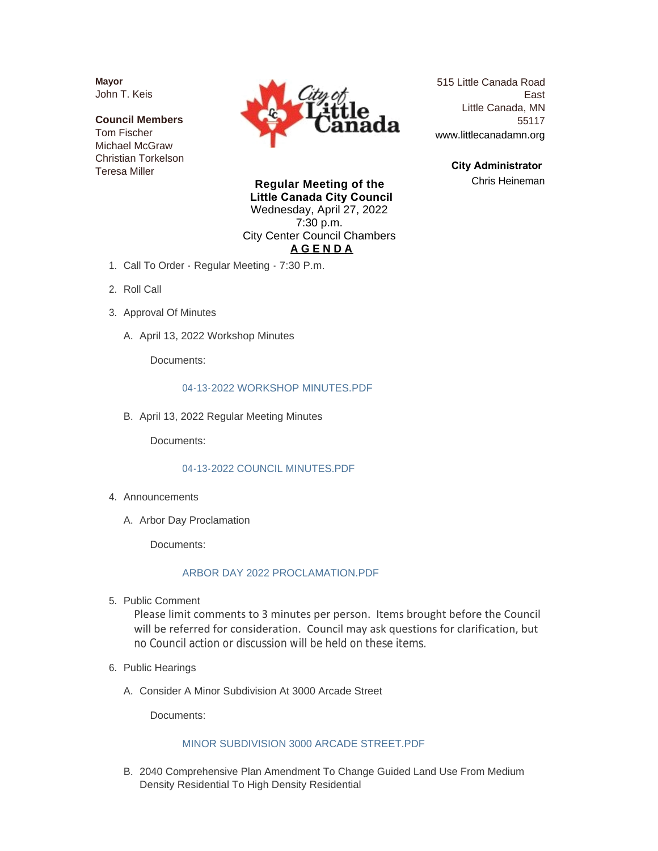**Mayor** John T. Keis

**Council Members** Tom Fischer Michael McGraw Christian Torkelson Teresa Miller



515 Little Canada Road East Little Canada, MN 55117 www.littlecanadamn.org

> **City Administrator**  Chris Heineman

**Regular Meeting of the Little Canada City Council** Wednesday, April 27, 2022 7:30 p.m. City Center Council Chambers **A G E N D A**

- 1. Call To Order Regular Meeting 7:30 P.m.
- 2. Roll Call
- 3. Approval Of Minutes
	- A. April 13, 2022 Workshop Minutes

Documents:

### [04-13-2022 WORKSHOP MINUTES.PDF](http://www.littlecanadamn.org/AgendaCenter/ViewFile/Item/3947?fileID=3690)

B. April 13, 2022 Regular Meeting Minutes

Documents:

## [04-13-2022 COUNCIL MINUTES.PDF](http://www.littlecanadamn.org/AgendaCenter/ViewFile/Item/3946?fileID=3689)

- 4. Announcements
	- A. Arbor Day Proclamation

Documents:

# [ARBOR DAY 2022 PROCLAMATION.PDF](http://www.littlecanadamn.org/AgendaCenter/ViewFile/Item/3970?fileID=3731)

5. Public Comment

Please limit comments to 3 minutes per person. Items brought before the Council will be referred for consideration. Council may ask questions for clarification, but no Council action or discussion will be held on these items.

- 6. Public Hearings
	- A. Consider A Minor Subdivision At 3000 Arcade Street

Documents:

## [MINOR SUBDIVISION 3000 ARCADE STREET.PDF](http://www.littlecanadamn.org/AgendaCenter/ViewFile/Item/3967?fileID=3728)

B. 2040 Comprehensive Plan Amendment To Change Guided Land Use From Medium Density Residential To High Density Residential